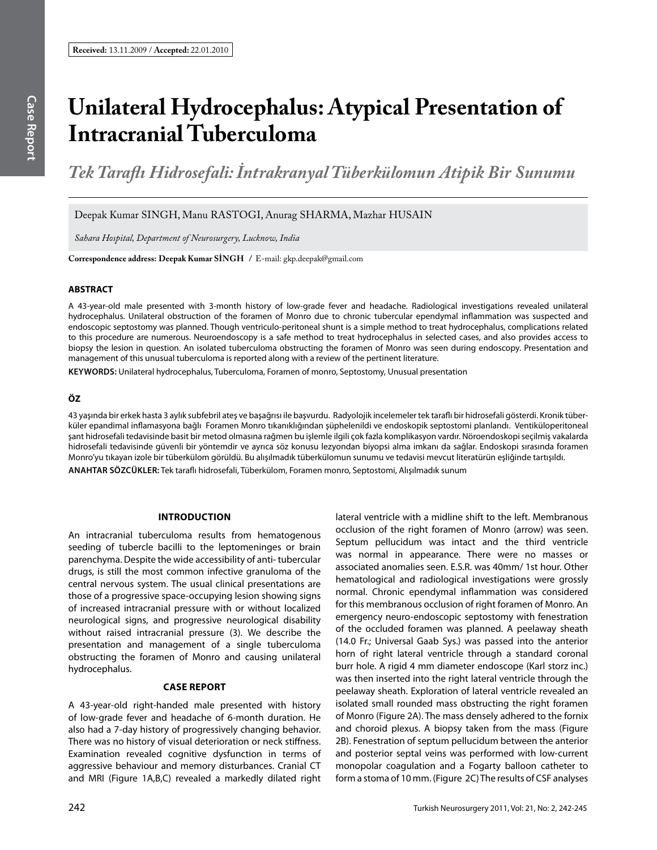# **Unilateral Hydrocephalus: Atypical Presentation of Intracranial Tuberculoma**

*Tek Taraflı Hidrosefali: İntrakranyal Tüberkülomun Atipik Bir Sunumu*

Deepak Kumar SINGH, Manu RASTOGI, Anurag SHARMA, Mazhar HUSAIN

*Sahara Hospital, Department of Neurosurgery, Lucknow, India*

**Correspondence address: Deepak Kumar Singh /** E-mail: gkp.deepak@gmail.com

#### **ABSTRACT**

A 43-year-old male presented with 3-month history of low-grade fever and headache. Radiological investigations revealed unilateral hydrocephalus. Unilateral obstruction of the foramen of Monro due to chronic tubercular ependymal inflammation was suspected and endoscopic septostomy was planned. Though ventriculo-peritoneal shunt is a simple method to treat hydrocephalus, complications related to this procedure are numerous. Neuroendoscopy is a safe method to treat hydrocephalus in selected cases, and also provides access to biopsy the lesion in question. An isolated tuberculoma obstructing the foramen of Monro was seen during endoscopy. Presentation and management of this unusual tuberculoma is reported along with a review of the pertinent literature.

**Keywords:** Unilateral hydrocephalus, Tuberculoma, Foramen of monro, Septostomy, Unusual presentation

## **ÖZ**

43 yaşında bir erkek hasta 3 aylık subfebril ateş ve başağrısı ile başvurdu. Radyolojik incelemeler tek taraflı bir hidrosefali gösterdi. Kronik tüberküler epandimal inflamasyona bağlı Foramen Monro tıkanıklığından şüphelenildi ve endoskopik septostomi planlandı. Ventiküloperitoneal şant hidrosefali tedavisinde basit bir metod olmasına rağmen bu işlemle ilgili çok fazla komplikasyon vardır. Nöroendoskopi seçilmiş vakalarda hidrosefali tedavisinde güvenli bir yöntemdir ve ayrıca söz konusu lezyondan biyopsi alma imkanı da sağlar. Endoskopi sırasında foramen Monro'yu tıkayan izole bir tüberkülom görüldü. Bu alışılmadık tüberkülomun sunumu ve tedavisi mevcut literatürün eşliğinde tartışıldı.

**ANAHTAR SÖZCÜKLER:** Tek taraflı hidrosefali, Tüberkülom, Foramen monro, Septostomi, Alışılmadık sunum

#### **IntroductIon**

An intracranial tuberculoma results from hematogenous seeding of tubercle bacilli to the leptomeninges or brain parenchyma. Despite the wide accessibility of anti- tubercular drugs, is still the most common infective granuloma of the central nervous system. The usual clinical presentations are those of a progressive space-occupying lesion showing signs of increased intracranial pressure with or without localized neurological signs, and progressive neurological disability without raised intracranial pressure (3). We describe the presentation and management of a single tuberculoma obstructing the foramen of Monro and causing unilateral hydrocephalus.

### **Case report**

A 43-year-old right-handed male presented with history of low-grade fever and headache of 6-month duration. He also had a 7-day history of progressively changing behavior. There was no history of visual deterioration or neck stiffness. Examination revealed cognitive dysfunction in terms of aggressive behaviour and memory disturbances. Cranial CT and MRI (Figure 1A,B,C) revealed a markedly dilated right lateral ventricle with a midline shift to the left. Membranous occlusion of the right foramen of Monro (arrow) was seen. Septum pellucidum was intact and the third ventricle was normal in appearance. There were no masses or associated anomalies seen. E.S.R. was 40mm/ 1st hour. Other hematological and radiological investigations were grossly normal. Chronic ependymal inflammation was considered for this membranous occlusion of right foramen of Monro. An emergency neuro-endoscopic septostomy with fenestration of the occluded foramen was planned. A peelaway sheath (14.0 Fr.; Universal Gaab Sys.) was passed into the anterior horn of right lateral ventricle through a standard coronal burr hole. A rigid 4 mm diameter endoscope (Karl storz inc.) was then inserted into the right lateral ventricle through the peelaway sheath. Exploration of lateral ventricle revealed an isolated small rounded mass obstructing the right foramen of Monro (Figure 2A). The mass densely adhered to the fornix and choroid plexus. A biopsy taken from the mass (Figure 2B). Fenestration of septum pellucidum between the anterior and posterior septal veins was performed with low-current monopolar coagulation and a Fogarty balloon catheter to form a stoma of 10 mm. (Figure 2C) The results of CSF analyses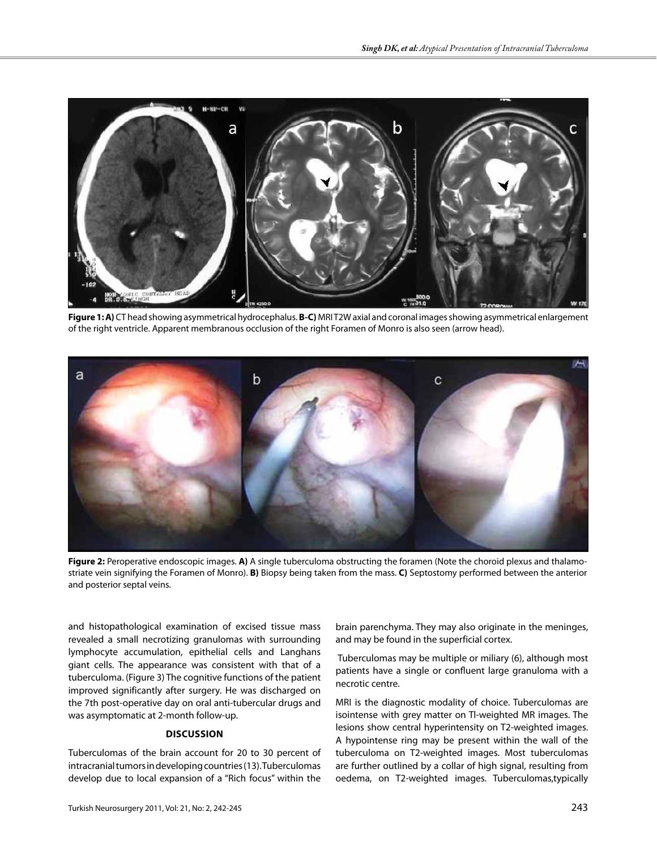

**Figure 1: A)** CT head showing asymmetrical hydrocephalus. **B-C)** MRI T2W axial and coronal images showing asymmetrical enlargement of the right ventricle. Apparent membranous occlusion of the right Foramen of Monro is also seen (arrow head).



**Figure 2:** Peroperative endoscopic images. **A)** A single tuberculoma obstructing the foramen (Note the choroid plexus and thalamostriate vein signifying the Foramen of Monro). **B)** Biopsy being taken from the mass. **C)** Septostomy performed between the anterior and posterior septal veins.

and histopathological examination of excised tissue mass revealed a small necrotizing granulomas with surrounding lymphocyte accumulation, epithelial cells and Langhans giant cells. The appearance was consistent with that of a tuberculoma. (Figure 3) The cognitive functions of the patient improved significantly after surgery. He was discharged on the 7th post-operative day on oral anti-tubercular drugs and was asymptomatic at 2-month follow-up.

#### **DIscussIon**

Tuberculomas of the brain account for 20 to 30 percent of intracranial tumors in developing countries (13). Tuberculomas develop due to local expansion of a "Rich focus" within the brain parenchyma. They may also originate in the meninges, and may be found in the superficial cortex.

 Tuberculomas may be multiple or miliary (6), although most patients have a single or confluent large granuloma with a necrotic centre.

MRI is the diagnostic modality of choice. Tuberculomas are isointense with grey matter on Tl-weighted MR images. The lesions show central hyperintensity on T2-weighted images. A hypointense ring may be present within the wall of the tuberculoma on T2-weighted images. Most tuberculomas are further outlined by a collar of high signal, resulting from oedema, on T2-weighted images. Tuberculomas,typically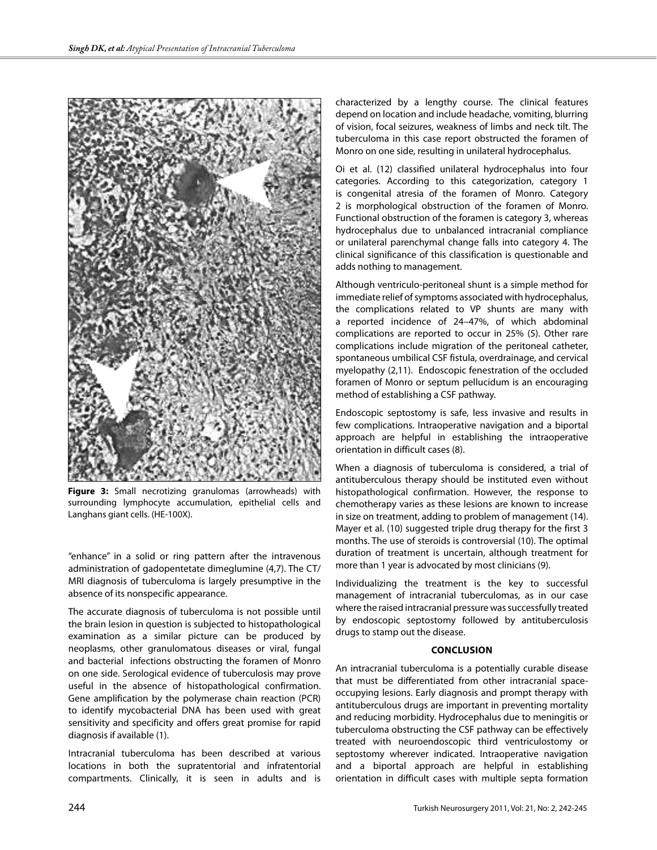

**Figure 3:** Small necrotizing granulomas (arrowheads) with surrounding lymphocyte accumulation, epithelial cells and Langhans giant cells. (HE-100X).

"enhance" in a solid or ring pattern after the intravenous administration of gadopentetate dimeglumine (4,7). The CT/ MRI diagnosis of tuberculoma is largely presumptive in the absence of its nonspecific appearance.

The accurate diagnosis of tuberculoma is not possible until the brain lesion in question is subjected to histopathological examination as a similar picture can be produced by neoplasms, other granulomatous diseases or viral, fungal and bacterial infections obstructing the foramen of Monro on one side. Serological evidence of tuberculosis may prove useful in the absence of histopathological confirmation. Gene amplification by the polymerase chain reaction (PCR) to identify mycobacterial DNA has been used with great sensitivity and specificity and offers great promise for rapid diagnosis if available (1).

Intracranial tuberculoma has been described at various locations in both the supratentorial and infratentorial compartments. Clinically, it is seen in adults and is

characterized by a lengthy course. The clinical features depend on location and include headache, vomiting, blurring of vision, focal seizures, weakness of limbs and neck tilt. The tuberculoma in this case report obstructed the foramen of Monro on one side, resulting in unilateral hydrocephalus.

Oi et al. (12) classified unilateral hydrocephalus into four categories. According to this categorization, category 1 is congenital atresia of the foramen of Monro. Category 2 is morphological obstruction of the foramen of Monro. Functional obstruction of the foramen is category 3, whereas hydrocephalus due to unbalanced intracranial compliance or unilateral parenchymal change falls into category 4. The clinical significance of this classification is questionable and adds nothing to management.

Although ventriculo-peritoneal shunt is a simple method for immediate relief of symptoms associated with hydrocephalus, the complications related to VP shunts are many with a reported incidence of 24–47%, of which abdominal complications are reported to occur in 25% (5). Other rare complications include migration of the peritoneal catheter, spontaneous umbilical CSF fistula, overdrainage, and cervical myelopathy (2,11). Endoscopic fenestration of the occluded foramen of Monro or septum pellucidum is an encouraging method of establishing a CSF pathway.

Endoscopic septostomy is safe, less invasive and results in few complications. Intraoperative navigation and a biportal approach are helpful in establishing the intraoperative orientation in difficult cases (8).

When a diagnosis of tuberculoma is considered, a trial of antituberculous therapy should be instituted even without histopathological confirmation. However, the response to chemotherapy varies as these lesions are known to increase in size on treatment, adding to problem of management (14). Mayer et al. (10) suggested triple drug therapy for the first 3 months. The use of steroids is controversial (10). The optimal duration of treatment is uncertain, although treatment for more than 1 year is advocated by most clinicians (9).

Individualizing the treatment is the key to successful management of intracranial tuberculomas, as in our case where the raised intracranial pressure was successfully treated by endoscopic septostomy followed by antituberculosis drugs to stamp out the disease.

#### **ConclusIon**

An intracranial tuberculoma is a potentially curable disease that must be differentiated from other intracranial spaceoccupying lesions. Early diagnosis and prompt therapy with antituberculous drugs are important in preventing mortality and reducing morbidity. Hydrocephalus due to meningitis or tuberculoma obstructing the CSF pathway can be effectively treated with neuroendoscopic third ventriculostomy or septostomy wherever indicated. Intraoperative navigation and a biportal approach are helpful in establishing orientation in difficult cases with multiple septa formation